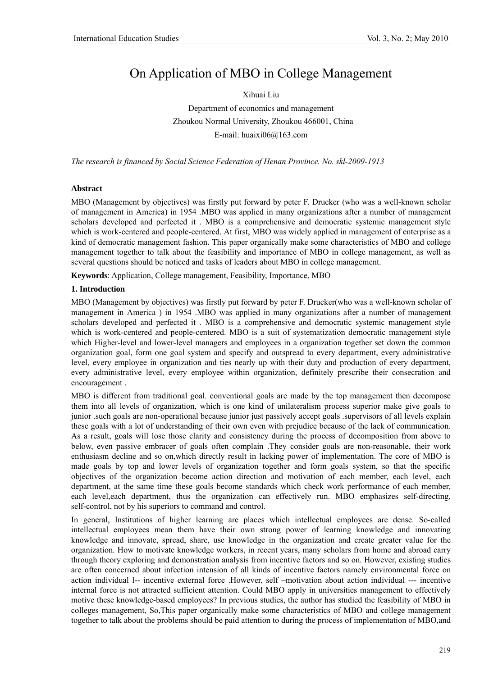# On Application of MBO in College Management

#### Xihuai Liu

Department of economics and management Zhoukou Normal University, Zhoukou 466001, China E-mail: huaixi06@163.com

*The research is financed by Social Science Federation of Henan Province. No. skl-2009-1913* 

### **Abstract**

MBO (Management by objectives) was firstly put forward by peter F. Drucker (who was a well-known scholar of management in America) in 1954 .MBO was applied in many organizations after a number of management scholars developed and perfected it . MBO is a comprehensive and democratic systemic management style which is work-centered and people-centered. At first, MBO was widely applied in management of enterprise as a kind of democratic management fashion. This paper organically make some characteristics of MBO and college management together to talk about the feasibility and importance of MBO in college management, as well as several questions should be noticed and tasks of leaders about MBO in college management.

**Keywords**: Application, College management, Feasibility, Importance, MBO

### **1. Introduction**

MBO (Management by objectives) was firstly put forward by peter F. Drucker(who was a well-known scholar of management in America ) in 1954 .MBO was applied in many organizations after a number of management scholars developed and perfected it . MBO is a comprehensive and democratic systemic management style which is work-centered and people-centered. MBO is a suit of systematization democratic management style which Higher-level and lower-level managers and employees in a organization together set down the common organization goal, form one goal system and specify and outspread to every department, every administrative level, every employee in organization and ties nearly up with their duty and production of every department, every administrative level, every employee within organization, definitely prescribe their consecration and encouragement .

MBO is different from traditional goal. conventional goals are made by the top management then decompose them into all levels of organization, which is one kind of unilateralism process superior make give goals to junior .such goals are non-operational because junior just passively accept goals .supervisors of all levels explain these goals with a lot of understanding of their own even with prejudice because of the lack of communication. As a result, goals will lose those clarity and consistency during the process of decomposition from above to below, even passive embracer of goals often complain .They consider goals are non-reasonable, their work enthusiasm decline and so on,which directly result in lacking power of implementation. The core of MBO is made goals by top and lower levels of organization together and form goals system, so that the specific objectives of the organization become action direction and motivation of each member, each level, each department, at the same time these goals become standards which check work performance of each member, each level,each department, thus the organization can effectively run. MBO emphasizes self-directing, self-control, not by his superiors to command and control.

In general, Institutions of higher learning are places which intellectual employees are dense. So-called intellectual employees mean them have their own strong power of learning knowledge and innovating knowledge and innovate, spread, share, use knowledge in the organization and create greater value for the organization. How to motivate knowledge workers, in recent years, many scholars from home and abroad carry through theory exploring and demonstration analysis from incentive factors and so on. However, existing studies are often concerned about infection intension of all kinds of incentive factors namely environmental force on action individual l-- incentive external force .However, self –motivation about action individual --- incentive internal force is not attracted sufficient attention. Could MBO apply in universities management to effectively motive these knowledge-based employees? In previous studies, the author has studied the feasibility of MBO in colleges management, So,This paper organically make some characteristics of MBO and college management together to talk about the problems should be paid attention to during the process of implementation of MBO,and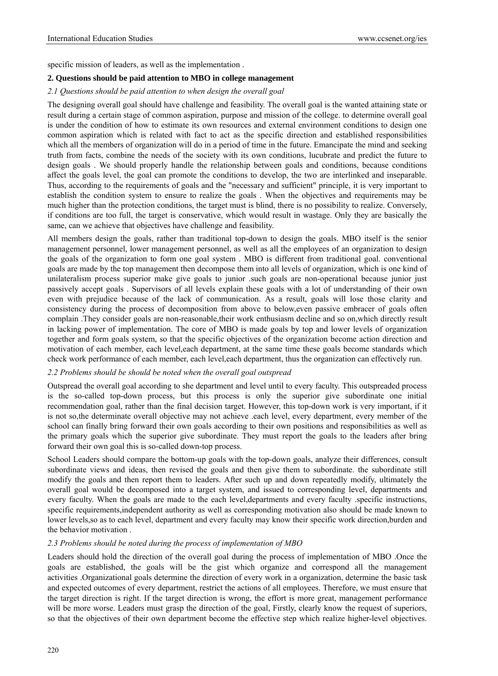specific mission of leaders, as well as the implementation .

## **2. Questions should be paid attention to MBO in college management**

### *2.1 Questions should be paid attention to when design the overall goal*

The designing overall goal should have challenge and feasibility. The overall goal is the wanted attaining state or result during a certain stage of common aspiration, purpose and mission of the college. to determine overall goal is under the condition of how to estimate its own resources and external environment conditions to design one common aspiration which is related with fact to act as the specific direction and established responsibilities which all the members of organization will do in a period of time in the future. Emancipate the mind and seeking truth from facts, combine the needs of the society with its own conditions, lucubrate and predict the future to design goals . We should properly handle the relationship between goals and conditions, because conditions affect the goals level, the goal can promote the conditions to develop, the two are interlinked and inseparable. Thus, according to the requirements of goals and the "necessary and sufficient" principle, it is very important to establish the condition system to ensure to realize the goals . When the objectives and requirements may be much higher than the protection conditions, the target must is blind, there is no possibility to realize. Conversely, if conditions are too full, the target is conservative, which would result in wastage. Only they are basically the same, can we achieve that objectives have challenge and feasibility.

All members design the goals, rather than traditional top-down to design the goals. MBO itself is the senior management personnel, lower management personnel, as well as all the employees of an organization to design the goals of the organization to form one goal system . MBO is different from traditional goal. conventional goals are made by the top management then decompose them into all levels of organization, which is one kind of unilateralism process superior make give goals to junior .such goals are non-operational because junior just passively accept goals . Supervisors of all levels explain these goals with a lot of understanding of their own even with prejudice because of the lack of communication. As a result, goals will lose those clarity and consistency during the process of decomposition from above to below,even passive embracer of goals often complain .They consider goals are non-reasonable,their work enthusiasm decline and so on,which directly result in lacking power of implementation. The core of MBO is made goals by top and lower levels of organization together and form goals system, so that the specific objectives of the organization become action direction and motivation of each member, each level,each department, at the same time these goals become standards which check work performance of each member, each level,each department, thus the organization can effectively run.

### *2.2 Problems should be should be noted when the overall goal outspread*

Outspread the overall goal according to she department and level until to every faculty. This outspreaded process is the so-called top-down process, but this process is only the superior give subordinate one initial recommendation goal, rather than the final decision target. However, this top-down work is very important, if it is not so,the determinate overall objective may not achieve .each level, every department, every member of the school can finally bring forward their own goals according to their own positions and responsibilities as well as the primary goals which the superior give subordinate. They must report the goals to the leaders after bring forward their own goal this is so-called down-top process.

School Leaders should compare the bottom-up goals with the top-down goals, analyze their differences, consult subordinate views and ideas, then revised the goals and then give them to subordinate. the subordinate still modify the goals and then report them to leaders. After such up and down repeatedly modify, ultimately the overall goal would be decomposed into a target system, and issued to corresponding level, departments and every faculty. When the goals are made to the each level,departments and every faculty .specific instructions, specific requirements,independent authority as well as corresponding motivation also should be made known to lower levels,so as to each level, department and every faculty may know their specific work direction,burden and the behavior motivation .

# *2.3 Problems should be noted during the process of implementation of MBO*

Leaders should hold the direction of the overall goal during the process of implementation of MBO .Once the goals are established, the goals will be the gist which organize and correspond all the management activities .Organizational goals determine the direction of every work in a organization, determine the basic task and expected outcomes of every department, restrict the actions of all employees. Therefore, we must ensure that the target direction is right. If the target direction is wrong, the effort is more great, management performance will be more worse. Leaders must grasp the direction of the goal, Firstly, clearly know the request of superiors, so that the objectives of their own department become the effective step which realize higher-level objectives.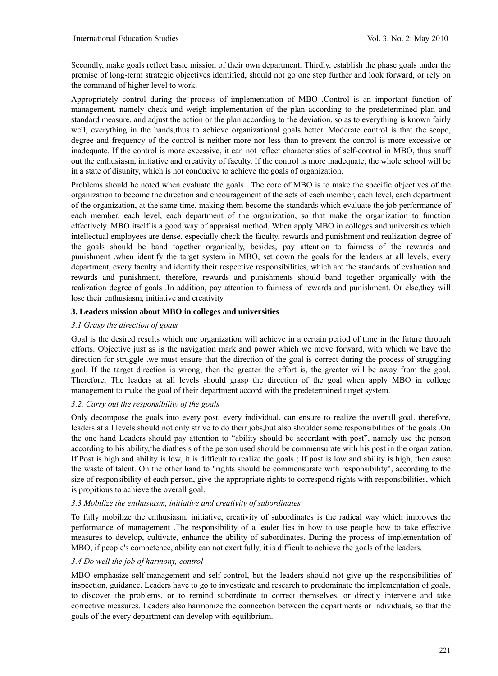Secondly, make goals reflect basic mission of their own department. Thirdly, establish the phase goals under the premise of long-term strategic objectives identified, should not go one step further and look forward, or rely on the command of higher level to work.

Appropriately control during the process of implementation of MBO .Control is an important function of management, namely check and weigh implementation of the plan according to the predetermined plan and standard measure, and adjust the action or the plan according to the deviation, so as to everything is known fairly well, everything in the hands,thus to achieve organizational goals better. Moderate control is that the scope, degree and frequency of the control is neither more nor less than to prevent the control is more excessive or inadequate. If the control is more excessive, it can not reflect characteristics of self-control in MBO, thus snuff out the enthusiasm, initiative and creativity of faculty. If the control is more inadequate, the whole school will be in a state of disunity, which is not conducive to achieve the goals of organization.

Problems should be noted when evaluate the goals . The core of MBO is to make the specific objectives of the organization to become the direction and encouragement of the acts of each member, each level, each department of the organization, at the same time, making them become the standards which evaluate the job performance of each member, each level, each department of the organization, so that make the organization to function effectively. MBO itself is a good way of appraisal method. When apply MBO in colleges and universities which intellectual employees are dense, especially check the faculty, rewards and punishment and realization degree of the goals should be band together organically, besides, pay attention to fairness of the rewards and punishment .when identify the target system in MBO, set down the goals for the leaders at all levels, every department, every faculty and identify their respective responsibilities, which are the standards of evaluation and rewards and punishment, therefore, rewards and punishments should band together organically with the realization degree of goals .In addition, pay attention to fairness of rewards and punishment. Or else,they will lose their enthusiasm, initiative and creativity.

# **3. Leaders mission about MBO in colleges and universities**

# *3.1 Grasp the direction of goals*

Goal is the desired results which one organization will achieve in a certain period of time in the future through efforts. Objective just as is the navigation mark and power which we move forward, with which we have the direction for struggle .we must ensure that the direction of the goal is correct during the process of struggling goal. If the target direction is wrong, then the greater the effort is, the greater will be away from the goal. Therefore, The leaders at all levels should grasp the direction of the goal when apply MBO in college management to make the goal of their department accord with the predetermined target system.

# *3.2. Carry out the responsibility of the goals*

Only decompose the goals into every post, every individual, can ensure to realize the overall goal. therefore, leaders at all levels should not only strive to do their jobs,but also shoulder some responsibilities of the goals .On the one hand Leaders should pay attention to "ability should be accordant with post", namely use the person according to his ability,the diathesis of the person used should be commensurate with his post in the organization. If Post is high and ability is low, it is difficult to realize the goals ; If post is low and ability is high, then cause the waste of talent. On the other hand to "rights should be commensurate with responsibility", according to the size of responsibility of each person, give the appropriate rights to correspond rights with responsibilities, which is propitious to achieve the overall goal.

# *3.3 Mobilize the enthusiasm, initiative and creativity of subordinates*

To fully mobilize the enthusiasm, initiative, creativity of subordinates is the radical way which improves the performance of management .The responsibility of a leader lies in how to use people how to take effective measures to develop, cultivate, enhance the ability of subordinates. During the process of implementation of MBO, if people's competence, ability can not exert fully, it is difficult to achieve the goals of the leaders.

# *3.4 Do well the job of harmony, control*

MBO emphasize self-management and self-control, but the leaders should not give up the responsibilities of inspection, guidance. Leaders have to go to investigate and research to predominate the implementation of goals, to discover the problems, or to remind subordinate to correct themselves, or directly intervene and take corrective measures. Leaders also harmonize the connection between the departments or individuals, so that the goals of the every department can develop with equilibrium.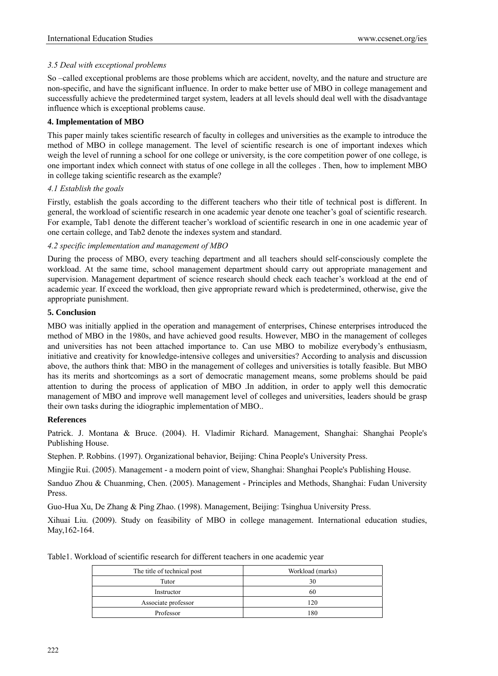## *3.5 Deal with exceptional problems*

So –called exceptional problems are those problems which are accident, novelty, and the nature and structure are non-specific, and have the significant influence. In order to make better use of MBO in college management and successfully achieve the predetermined target system, leaders at all levels should deal well with the disadvantage influence which is exceptional problems cause.

### **4. Implementation of MBO**

This paper mainly takes scientific research of faculty in colleges and universities as the example to introduce the method of MBO in college management. The level of scientific research is one of important indexes which weigh the level of running a school for one college or university, is the core competition power of one college, is one important index which connect with status of one college in all the colleges . Then, how to implement MBO in college taking scientific research as the example?

### *4.1 Establish the goals*

Firstly, establish the goals according to the different teachers who their title of technical post is different. In general, the workload of scientific research in one academic year denote one teacher's goal of scientific research. For example, Tab1 denote the different teacher's workload of scientific research in one in one academic year of one certain college, and Tab2 denote the indexes system and standard.

### *4.2 specific implementation and management of MBO*

During the process of MBO, every teaching department and all teachers should self-consciously complete the workload. At the same time, school management department should carry out appropriate management and supervision. Management department of science research should check each teacher's workload at the end of academic year. If exceed the workload, then give appropriate reward which is predetermined, otherwise, give the appropriate punishment.

### **5. Conclusion**

MBO was initially applied in the operation and management of enterprises, Chinese enterprises introduced the method of MBO in the 1980s, and have achieved good results. However, MBO in the management of colleges and universities has not been attached importance to. Can use MBO to mobilize everybody's enthusiasm, initiative and creativity for knowledge-intensive colleges and universities? According to analysis and discussion above, the authors think that: MBO in the management of colleges and universities is totally feasible. But MBO has its merits and shortcomings as a sort of democratic management means, some problems should be paid attention to during the process of application of MBO .In addition, in order to apply well this democratic management of MBO and improve well management level of colleges and universities, leaders should be grasp their own tasks during the idiographic implementation of MBO..

## **References**

Patrick. J. Montana & Bruce. (2004). H. Vladimir Richard. Management, Shanghai: Shanghai People's Publishing House.

Stephen. P. Robbins. (1997). Organizational behavior, Beijing: China People's University Press.

Mingjie Rui. (2005). Management - a modern point of view, Shanghai: Shanghai People's Publishing House.

Sanduo Zhou & Chuanming, Chen. (2005). Management - Principles and Methods, Shanghai: Fudan University Press.

Guo-Hua Xu, De Zhang & Ping Zhao. (1998). Management, Beijing: Tsinghua University Press.

Xihuai Liu. (2009). Study on feasibility of MBO in college management. International education studies, May,162-164.

Table1. Workload of scientific research for different teachers in one academic year

| The title of technical post | Workload (marks) |  |
|-----------------------------|------------------|--|
| Tutor                       | 30               |  |
| Instructor                  | 60               |  |
| Associate professor         | 120              |  |
| Professor                   | 180              |  |